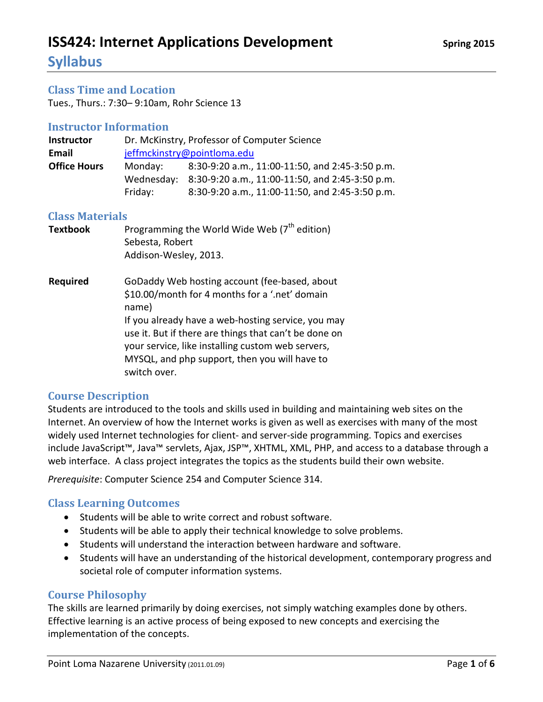**Syllabus**

#### **Class Time and Location**

Tues., Thurs.: 7:30– 9:10am, Rohr Science 13

#### **Instructor Information**

| <b>Instructor</b>   | Dr. McKinstry, Professor of Computer Science |                                                            |  |
|---------------------|----------------------------------------------|------------------------------------------------------------|--|
| Email               | jeffmckinstry@pointloma.edu                  |                                                            |  |
| <b>Office Hours</b> | Monday:                                      | 8:30-9:20 a.m., 11:00-11:50, and 2:45-3:50 p.m.            |  |
|                     |                                              | Wednesday: 8:30-9:20 a.m., 11:00-11:50, and 2:45-3:50 p.m. |  |
|                     | Friday:                                      | 8:30-9:20 a.m., 11:00-11:50, and 2:45-3:50 p.m.            |  |

#### **Class Materials**

| <b>Textbook</b> | Programming the World Wide Web $7th$ edition)<br>Sebesta, Robert<br>Addison-Wesley, 2013.                                                                                                                                                                                                                                                     |
|-----------------|-----------------------------------------------------------------------------------------------------------------------------------------------------------------------------------------------------------------------------------------------------------------------------------------------------------------------------------------------|
| <b>Required</b> | GoDaddy Web hosting account (fee-based, about<br>\$10.00/month for 4 months for a '.net' domain<br>name)<br>If you already have a web-hosting service, you may<br>use it. But if there are things that can't be done on<br>your service, like installing custom web servers,<br>MYSQL, and php support, then you will have to<br>switch over. |

#### **Course Description**

Students are introduced to the tools and skills used in building and maintaining web sites on the Internet. An overview of how the Internet works is given as well as exercises with many of the most widely used Internet technologies for client- and server-side programming. Topics and exercises include JavaScript™, Java™ servlets, Ajax, JSP™, XHTML, XML, PHP, and access to a database through a web interface. A class project integrates the topics as the students build their own website.

*Prerequisite*: Computer Science 254 and Computer Science 314.

#### **Class Learning Outcomes**

- Students will be able to write correct and robust software.
- Students will be able to apply their technical knowledge to solve problems.
- Students will understand the interaction between hardware and software.
- Students will have an understanding of the historical development, contemporary progress and societal role of computer information systems.

#### **Course Philosophy**

The skills are learned primarily by doing exercises, not simply watching examples done by others. Effective learning is an active process of being exposed to new concepts and exercising the implementation of the concepts.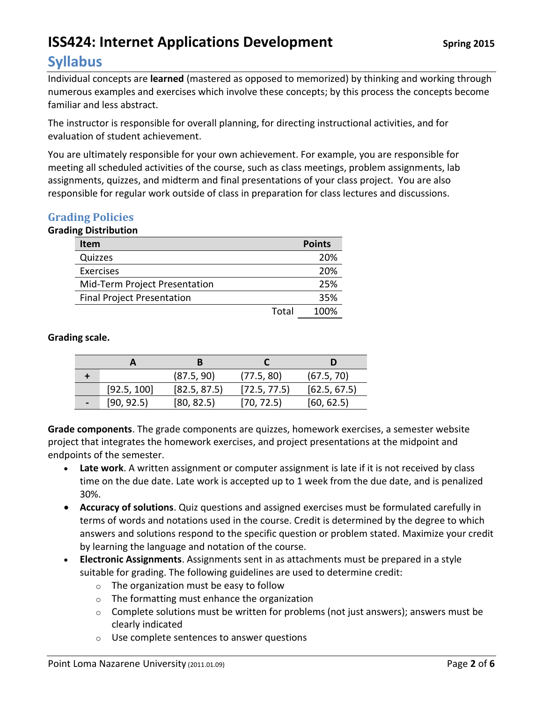### **Syllabus**

Individual concepts are **learned** (mastered as opposed to memorized) by thinking and working through numerous examples and exercises which involve these concepts; by this process the concepts become familiar and less abstract.

The instructor is responsible for overall planning, for directing instructional activities, and for evaluation of student achievement.

You are ultimately responsible for your own achievement. For example, you are responsible for meeting all scheduled activities of the course, such as class meetings, problem assignments, lab assignments, quizzes, and midterm and final presentations of your class project. You are also responsible for regular work outside of class in preparation for class lectures and discussions.

### **Grading Policies**

### **Grading Distribution**

| <b>Item</b>                       |       | <b>Points</b> |
|-----------------------------------|-------|---------------|
| Quizzes                           |       | 20%           |
| Exercises                         |       | 20%           |
| Mid-Term Project Presentation     |       | 25%           |
| <b>Final Project Presentation</b> |       | 35%           |
|                                   | Total | 100%          |

### **Grading scale.**

|                |             | (87.5, 90)   | (77.5, 80)   | (67.5, 70)   |
|----------------|-------------|--------------|--------------|--------------|
|                | [92.5, 100] | [82.5, 87.5] | [72.5, 77.5] | [62.5, 67.5] |
| $\blacksquare$ | [90, 92.5]  | [80, 82.5]   | [70, 72.5]   | [60, 62.5]   |

**Grade components**. The grade components are quizzes, homework exercises, a semester website project that integrates the homework exercises, and project presentations at the midpoint and endpoints of the semester.

- **Late work**. A written assignment or computer assignment is late if it is not received by class time on the due date. Late work is accepted up to 1 week from the due date, and is penalized 30%.
- **Accuracy of solutions**. Quiz questions and assigned exercises must be formulated carefully in terms of words and notations used in the course. Credit is determined by the degree to which answers and solutions respond to the specific question or problem stated. Maximize your credit by learning the language and notation of the course.
- **Electronic Assignments**. Assignments sent in as attachments must be prepared in a style suitable for grading. The following guidelines are used to determine credit:
	- o The organization must be easy to follow
	- o The formatting must enhance the organization
	- $\circ$  Complete solutions must be written for problems (not just answers); answers must be clearly indicated
	- o Use complete sentences to answer questions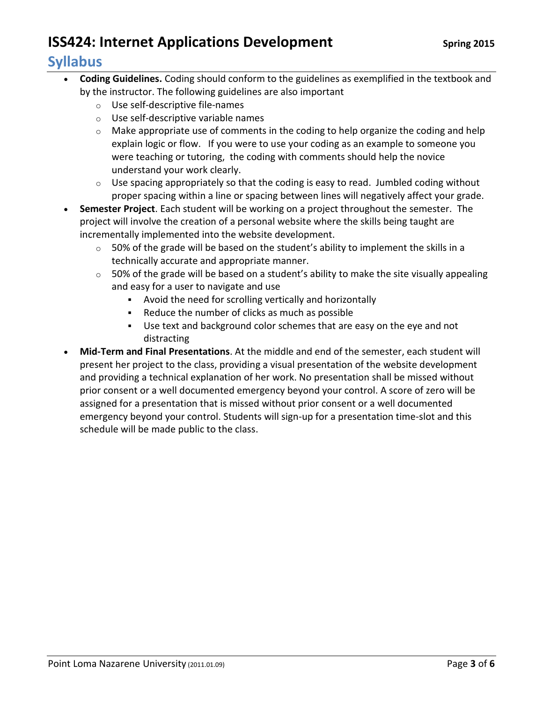### **Syllabus**

- **Coding Guidelines.** Coding should conform to the guidelines as exemplified in the textbook and by the instructor. The following guidelines are also important
	- o Use self-descriptive file-names
	- o Use self-descriptive variable names
	- $\circ$  Make appropriate use of comments in the coding to help organize the coding and help explain logic or flow. If you were to use your coding as an example to someone you were teaching or tutoring, the coding with comments should help the novice understand your work clearly.
	- $\circ$  Use spacing appropriately so that the coding is easy to read. Jumbled coding without proper spacing within a line or spacing between lines will negatively affect your grade.
- **Semester Project**. Each student will be working on a project throughout the semester. The project will involve the creation of a personal website where the skills being taught are incrementally implemented into the website development.
	- $\circ$  50% of the grade will be based on the student's ability to implement the skills in a technically accurate and appropriate manner.
	- $\circ$  50% of the grade will be based on a student's ability to make the site visually appealing and easy for a user to navigate and use
		- Avoid the need for scrolling vertically and horizontally
		- Reduce the number of clicks as much as possible
		- Use text and background color schemes that are easy on the eye and not distracting
- **Mid-Term and Final Presentations**. At the middle and end of the semester, each student will present her project to the class, providing a visual presentation of the website development and providing a technical explanation of her work. No presentation shall be missed without prior consent or a well documented emergency beyond your control. A score of zero will be assigned for a presentation that is missed without prior consent or a well documented emergency beyond your control. Students will sign-up for a presentation time-slot and this schedule will be made public to the class.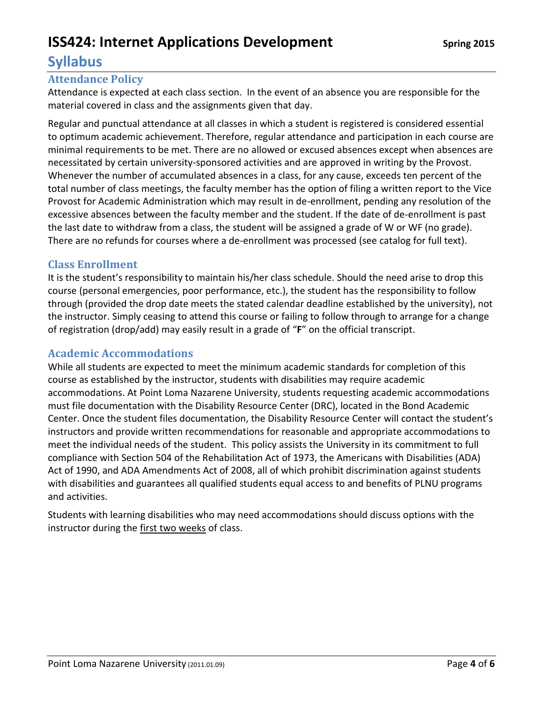### **Syllabus**

### **Attendance Policy**

Attendance is expected at each class section. In the event of an absence you are responsible for the material covered in class and the assignments given that day.

Regular and punctual attendance at all classes in which a student is registered is considered essential to optimum academic achievement. Therefore, regular attendance and participation in each course are minimal requirements to be met. There are no allowed or excused absences except when absences are necessitated by certain university-sponsored activities and are approved in writing by the Provost. Whenever the number of accumulated absences in a class, for any cause, exceeds ten percent of the total number of class meetings, the faculty member has the option of filing a written report to the Vice Provost for Academic Administration which may result in de-enrollment, pending any resolution of the excessive absences between the faculty member and the student. If the date of de-enrollment is past the last date to withdraw from a class, the student will be assigned a grade of W or WF (no grade). There are no refunds for courses where a de-enrollment was processed (see catalog for full text).

### **Class Enrollment**

It is the student's responsibility to maintain his/her class schedule. Should the need arise to drop this course (personal emergencies, poor performance, etc.), the student has the responsibility to follow through (provided the drop date meets the stated calendar deadline established by the university), not the instructor. Simply ceasing to attend this course or failing to follow through to arrange for a change of registration (drop/add) may easily result in a grade of "**F**" on the official transcript.

### **Academic Accommodations**

While all students are expected to meet the minimum academic standards for completion of this course as established by the instructor, students with disabilities may require academic accommodations. At Point Loma Nazarene University, students requesting academic accommodations must file documentation with the Disability Resource Center (DRC), located in the Bond Academic Center. Once the student files documentation, the Disability Resource Center will contact the student's instructors and provide written recommendations for reasonable and appropriate accommodations to meet the individual needs of the student. This policy assists the University in its commitment to full compliance with Section 504 of the Rehabilitation Act of 1973, the Americans with Disabilities (ADA) Act of 1990, and ADA Amendments Act of 2008, all of which prohibit discrimination against students with disabilities and guarantees all qualified students equal access to and benefits of PLNU programs and activities.

Students with learning disabilities who may need accommodations should discuss options with the instructor during the first two weeks of class.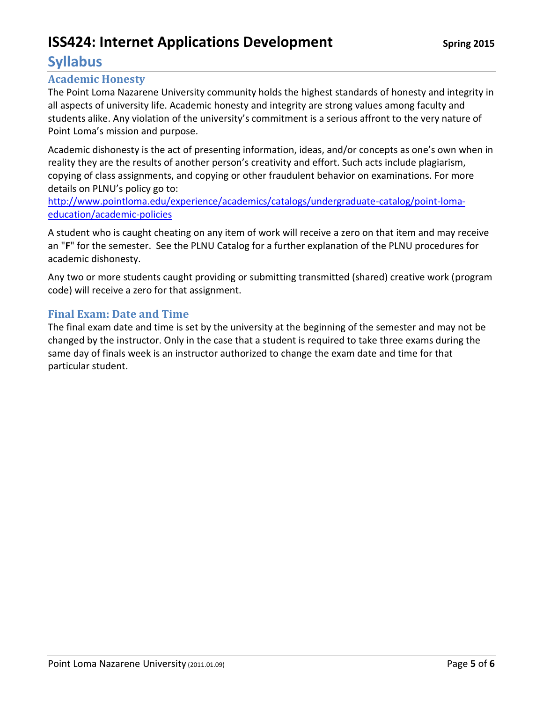### **Syllabus**

### **Academic Honesty**

The Point Loma Nazarene University community holds the highest standards of honesty and integrity in all aspects of university life. Academic honesty and integrity are strong values among faculty and students alike. Any violation of the university's commitment is a serious affront to the very nature of Point Loma's mission and purpose.

Academic dishonesty is the act of presenting information, ideas, and/or concepts as one's own when in reality they are the results of another person's creativity and effort. Such acts include plagiarism, copying of class assignments, and copying or other fraudulent behavior on examinations. For more details on PLNU's policy go to:

[http://www.pointloma.edu/experience/academics/catalogs/undergraduate-catalog/point-loma](http://www.pointloma.edu/experience/academics/catalogs/undergraduate-catalog/point-loma-education/academic-policies)[education/academic-policies](http://www.pointloma.edu/experience/academics/catalogs/undergraduate-catalog/point-loma-education/academic-policies)

A student who is caught cheating on any item of work will receive a zero on that item and may receive an "**F**" for the semester. See the PLNU Catalog for a further explanation of the PLNU procedures for academic dishonesty.

Any two or more students caught providing or submitting transmitted (shared) creative work (program code) will receive a zero for that assignment.

### **Final Exam: Date and Time**

The final exam date and time is set by the university at the beginning of the semester and may not be changed by the instructor. Only in the case that a student is required to take three exams during the same day of finals week is an instructor authorized to change the exam date and time for that particular student.